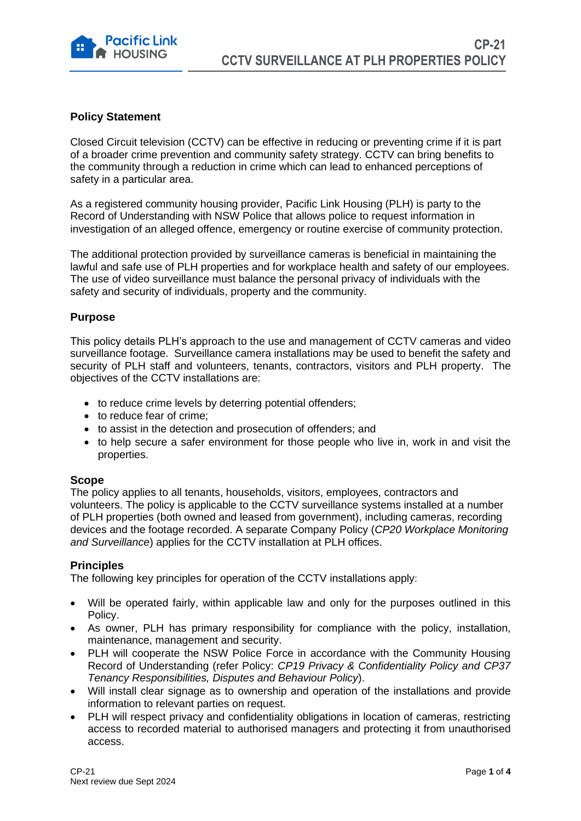

# **Policy Statement**

Closed Circuit television (CCTV) can be effective in reducing or preventing crime if it is part of a broader crime prevention and community safety strategy. CCTV can bring benefits to the community through a reduction in crime which can lead to enhanced perceptions of safety in a particular area.

As a registered community housing provider, Pacific Link Housing (PLH) is party to the Record of Understanding with NSW Police that allows police to request information in investigation of an alleged offence, emergency or routine exercise of community protection.

The additional protection provided by surveillance cameras is beneficial in maintaining the lawful and safe use of PLH properties and for workplace health and safety of our employees. The use of video surveillance must balance the personal privacy of individuals with the safety and security of individuals, property and the community.

# **Purpose**

This policy details PLH's approach to the use and management of CCTV cameras and video surveillance footage. Surveillance camera installations may be used to benefit the safety and security of PLH staff and volunteers, tenants, contractors, visitors and PLH property. The objectives of the CCTV installations are:

- to reduce crime levels by deterring potential offenders;
- to reduce fear of crime;
- to assist in the detection and prosecution of offenders; and
- to help secure a safer environment for those people who live in, work in and visit the properties.

# **Scope**

The policy applies to all tenants, households, visitors, employees, contractors and volunteers. The policy is applicable to the CCTV surveillance systems installed at a number of PLH properties (both owned and leased from government), including cameras, recording devices and the footage recorded. A separate Company Policy (*CP20 Workplace Monitoring and Surveillance*) applies for the CCTV installation at PLH offices.

#### **Principles**

The following key principles for operation of the CCTV installations apply:

- Will be operated fairly, within applicable law and only for the purposes outlined in this Policy.
- As owner, PLH has primary responsibility for compliance with the policy, installation, maintenance, management and security.
- PLH will cooperate the NSW Police Force in accordance with the Community Housing Record of Understanding (refer Policy: *CP19 Privacy & Confidentiality Policy and CP37 Tenancy Responsibilities, Disputes and Behaviour Policy*).
- Will install clear signage as to ownership and operation of the installations and provide information to relevant parties on request.
- PLH will respect privacy and confidentiality obligations in location of cameras, restricting access to recorded material to authorised managers and protecting it from unauthorised access.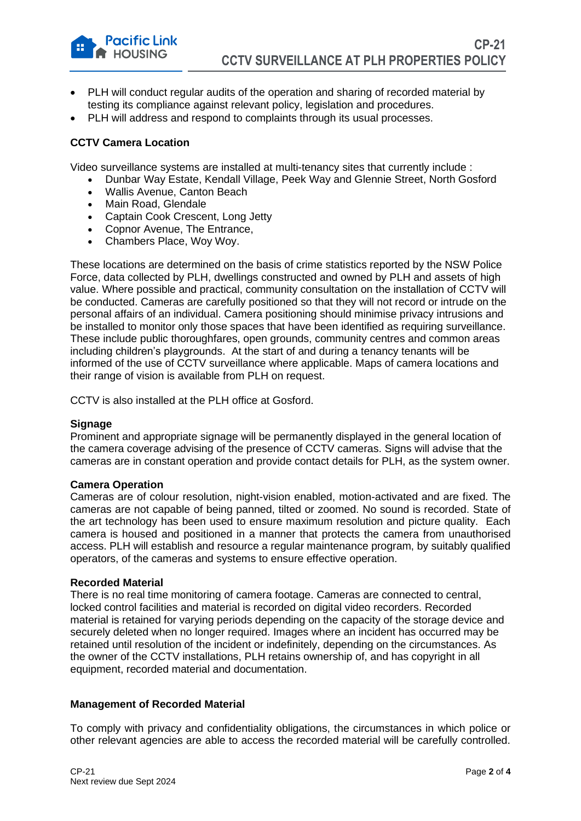- PLH will conduct regular audits of the operation and sharing of recorded material by testing its compliance against relevant policy, legislation and procedures.
- PLH will address and respond to complaints through its usual processes.

### **CCTV Camera Location**

**Pacific Link HOUSING** 

Video surveillance systems are installed at multi-tenancy sites that currently include :

- Dunbar Way Estate, Kendall Village, Peek Way and Glennie Street, North Gosford
- Wallis Avenue, Canton Beach
- Main Road, Glendale
- Captain Cook Crescent, Long Jetty
- Copnor Avenue, The Entrance,
- Chambers Place, Woy Woy.

These locations are determined on the basis of crime statistics reported by the NSW Police Force, data collected by PLH, dwellings constructed and owned by PLH and assets of high value. Where possible and practical, community consultation on the installation of CCTV will be conducted. Cameras are carefully positioned so that they will not record or intrude on the personal affairs of an individual. Camera positioning should minimise privacy intrusions and be installed to monitor only those spaces that have been identified as requiring surveillance. These include public thoroughfares, open grounds, community centres and common areas including children's playgrounds. At the start of and during a tenancy tenants will be informed of the use of CCTV surveillance where applicable. Maps of camera locations and their range of vision is available from PLH on request.

CCTV is also installed at the PLH office at Gosford.

#### **Signage**

Prominent and appropriate signage will be permanently displayed in the general location of the camera coverage advising of the presence of CCTV cameras. Signs will advise that the cameras are in constant operation and provide contact details for PLH, as the system owner.

#### **Camera Operation**

Cameras are of colour resolution, night-vision enabled, motion-activated and are fixed. The cameras are not capable of being panned, tilted or zoomed. No sound is recorded. State of the art technology has been used to ensure maximum resolution and picture quality. Each camera is housed and positioned in a manner that protects the camera from unauthorised access. PLH will establish and resource a regular maintenance program, by suitably qualified operators, of the cameras and systems to ensure effective operation.

#### **Recorded Material**

There is no real time monitoring of camera footage. Cameras are connected to central, locked control facilities and material is recorded on digital video recorders. Recorded material is retained for varying periods depending on the capacity of the storage device and securely deleted when no longer required. Images where an incident has occurred may be retained until resolution of the incident or indefinitely, depending on the circumstances. As the owner of the CCTV installations, PLH retains ownership of, and has copyright in all equipment, recorded material and documentation.

#### **Management of Recorded Material**

To comply with privacy and confidentiality obligations, the circumstances in which police or other relevant agencies are able to access the recorded material will be carefully controlled.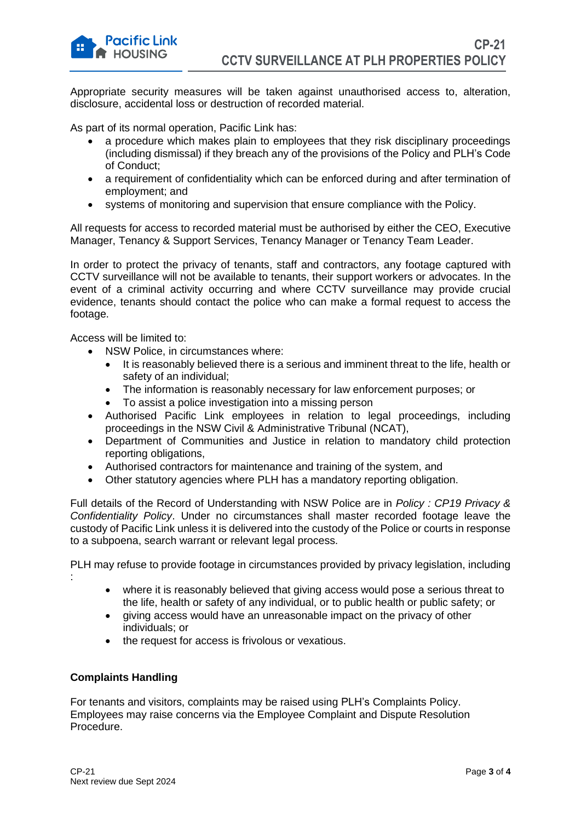Appropriate security measures will be taken against unauthorised access to, alteration, disclosure, accidental loss or destruction of recorded material.

As part of its normal operation, Pacific Link has:

- a procedure which makes plain to employees that they risk disciplinary proceedings (including dismissal) if they breach any of the provisions of the Policy and PLH's Code of Conduct;
- a requirement of confidentiality which can be enforced during and after termination of employment; and
- systems of monitoring and supervision that ensure compliance with the Policy.

All requests for access to recorded material must be authorised by either the CEO, Executive Manager, Tenancy & Support Services, Tenancy Manager or Tenancy Team Leader.

In order to protect the privacy of tenants, staff and contractors, any footage captured with CCTV surveillance will not be available to tenants, their support workers or advocates. In the event of a criminal activity occurring and where CCTV surveillance may provide crucial evidence, tenants should contact the police who can make a formal request to access the footage.

Access will be limited to:

- NSW Police, in circumstances where:
	- It is reasonably believed there is a serious and imminent threat to the life, health or safety of an individual;
	- The information is reasonably necessary for law enforcement purposes; or
	- To assist a police investigation into a missing person
- Authorised Pacific Link employees in relation to legal proceedings, including proceedings in the NSW Civil & Administrative Tribunal (NCAT),
- Department of Communities and Justice in relation to mandatory child protection reporting obligations,
- Authorised contractors for maintenance and training of the system, and
- Other statutory agencies where PLH has a mandatory reporting obligation.

Full details of the Record of Understanding with NSW Police are in *Policy : CP19 Privacy & Confidentiality Policy*. Under no circumstances shall master recorded footage leave the custody of Pacific Link unless it is delivered into the custody of the Police or courts in response to a subpoena, search warrant or relevant legal process.

PLH may refuse to provide footage in circumstances provided by privacy legislation, including

- where it is reasonably believed that giving access would pose a serious threat to the life, health or safety of any individual, or to public health or public safety; or
- giving access would have an unreasonable impact on the privacy of other individuals; or
- the request for access is frivolous or vexatious.

#### **Complaints Handling**

:

For tenants and visitors, complaints may be raised using PLH's Complaints Policy. Employees may raise concerns via the Employee Complaint and Dispute Resolution Procedure.